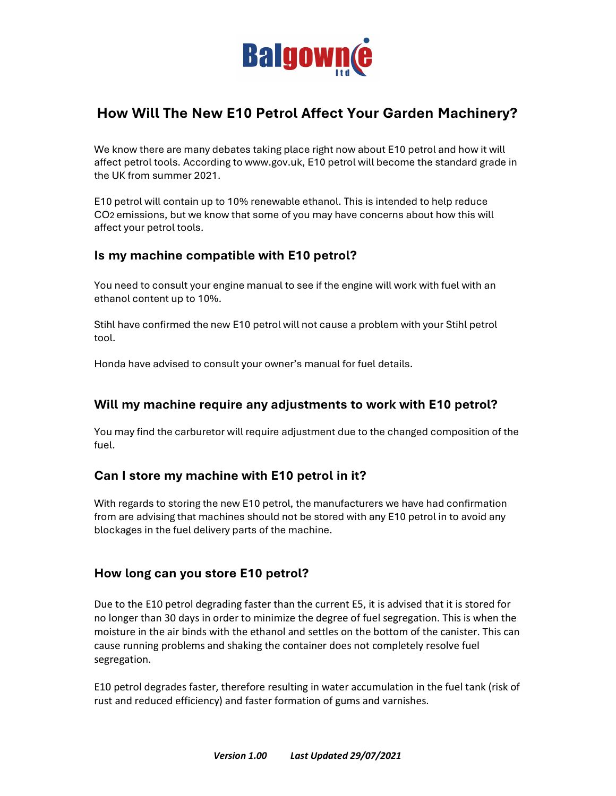

# How Will The New E10 Petrol Affect Your Garden Machinery?

We know there are many debates taking place right now about E10 petrol and how it will affect petrol tools. According to www.gov.uk, E10 petrol will become the standard grade in the UK from summer 2021.

E10 petrol will contain up to 10% renewable ethanol. This is intended to help reduce CO2 emissions, but we know that some of you may have concerns about how this will affect your petrol tools.

### Is my machine compatible with E10 petrol?

You need to consult your engine manual to see if the engine will work with fuel with an ethanol content up to 10%.

Stihl have confirmed the new E10 petrol will not cause a problem with your Stihl petrol tool.

Honda have advised to consult your owner's manual for fuel details.

### Will my machine require any adjustments to work with E10 petrol?

You may find the carburetor will require adjustment due to the changed composition of the fuel.

#### Can I store my machine with E10 petrol in it?

With regards to storing the new E10 petrol, the manufacturers we have had confirmation from are advising that machines should not be stored with any E10 petrol in to avoid any blockages in the fuel delivery parts of the machine.

#### How long can you store E10 petrol?

Due to the E10 petrol degrading faster than the current E5, it is advised that it is stored for no longer than 30 days in order to minimize the degree of fuel segregation. This is when the moisture in the air binds with the ethanol and settles on the bottom of the canister. This can cause running problems and shaking the container does not completely resolve fuel segregation.

E10 petrol degrades faster, therefore resulting in water accumulation in the fuel tank (risk of rust and reduced efficiency) and faster formation of gums and varnishes.